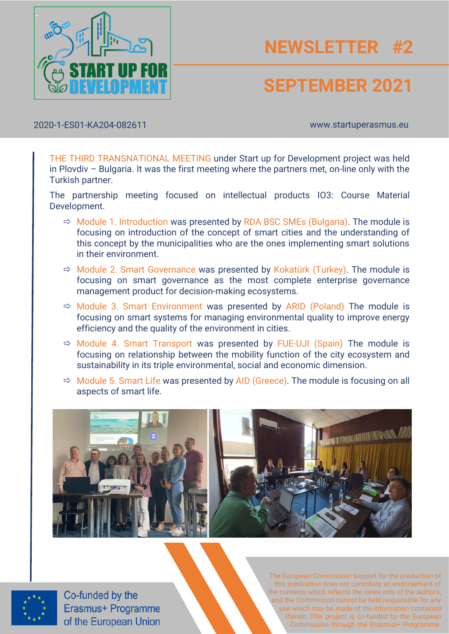

# **NEWSLETTER #2**

### **SEPTEMBER 2021**

2020-1-ES01-KA204-082611 www.startuperasmus.eu

THE THIRD TRANSNATIONAL MEETING under Start up for Development project was held in Plovdiv – Bulgaria. It was the first meeting where the partners met, on-line only with the Turkish partner.

The partnership meeting focused on intellectual products IO3: Course Material Development.

- $\Rightarrow$  Module 1. Introduction was presented by RDA BSC SMEs (Bulgaria). The module is focusing on introduction of the concept of smart cities and the understanding of this concept by the municipalities who are the ones implementing smart solutions in their environment.
- $\Rightarrow$  Module 2. Smart Governance was presented by Kokatürk (Turkey). The module is focusing on smart governance as the most complete enterprise governance management product for decision-making ecosystems.
- $\Rightarrow$  Module 3. Smart Environment was presented by ARID (Poland) The module is focusing on smart systems for managing environmental quality to improve energy efficiency and the quality of the environment in cities.
- $\Rightarrow$  Module 4. Smart Transport was presented by FUE-UJI (Spain) The module is focusing on relationship between the mobility function of the city ecosystem and sustainability in its triple environmental, social and economic dimension.
- $\Rightarrow$  Module 5. Smart Life was presented by AID (Greece). The module is focusing on all aspects of smart life.





Co-funded by the<br>Erasmus+ Programme of the European Union

The European Commission support for the production of this publication does not constitute an endorsement of the contents which reflects the views only of the authors, and the Commission cannot be held responsible for any use which may be made of the information contained therein. This project is co-funded by the European Commission through the Erasmus+ Programme.